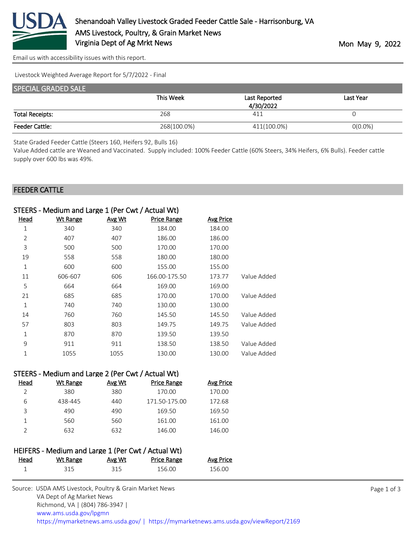

[Email us with accessibility issues with this report.](mailto:mars@ams.usda.gov?subject=508%20issue)

Livestock Weighted Average Report for 5/7/2022 - Final

| <b>SPECIAL GRADED SALE</b> |             |               |            |  |  |
|----------------------------|-------------|---------------|------------|--|--|
|                            | This Week   | Last Reported | Last Year  |  |  |
|                            |             | 4/30/2022     |            |  |  |
| <b>Total Receipts:</b>     | 268         | 411           |            |  |  |
| <b>Feeder Cattle:</b>      | 268(100.0%) | 411(100.0%)   | $O(0.0\%)$ |  |  |

State Graded Feeder Cattle (Steers 160, Heifers 92, Bulls 16)

Value Added cattle are Weaned and Vaccinated. Supply included: 100% Feeder Cattle (60% Steers, 34% Heifers, 6% Bulls). Feeder cattle supply over 600 lbs was 49%.

## FEEDER CATTLE

| STEERS - Medium and Large 1 (Per Cwt / Actual Wt) |                                                   |        |                    |                  |             |
|---------------------------------------------------|---------------------------------------------------|--------|--------------------|------------------|-------------|
| <b>Head</b>                                       | <b>Wt Range</b>                                   | Avg Wt | <b>Price Range</b> | <b>Avg Price</b> |             |
| 1                                                 | 340                                               | 340    | 184.00             | 184.00           |             |
| $\overline{2}$                                    | 407                                               | 407    | 186.00             | 186.00           |             |
| 3                                                 | 500                                               | 500    | 170.00             | 170.00           |             |
| 19                                                | 558                                               | 558    | 180.00             | 180.00           |             |
| $\mathbf{1}$                                      | 600                                               | 600    | 155.00             | 155.00           |             |
| 11                                                | 606-607                                           | 606    | 166.00-175.50      | 173.77           | Value Added |
| 5                                                 | 664                                               | 664    | 169.00             | 169.00           |             |
| 21                                                | 685                                               | 685    | 170.00             | 170.00           | Value Added |
| $\mathbf 1$                                       | 740                                               | 740    | 130.00             | 130.00           |             |
| 14                                                | 760                                               | 760    | 145.50             | 145.50           | Value Added |
| 57                                                | 803                                               | 803    | 149.75             | 149.75           | Value Added |
| $\mathbf 1$                                       | 870                                               | 870    | 139.50             | 139.50           |             |
| 9                                                 | 911                                               | 911    | 138.50             | 138.50           | Value Added |
| 1                                                 | 1055                                              | 1055   | 130.00             | 130.00           | Value Added |
|                                                   |                                                   |        |                    |                  |             |
|                                                   | STEERS - Medium and Large 2 (Per Cwt / Actual Wt) |        |                    |                  |             |
| <u>Head</u>                                       | <b>Wt Range</b>                                   | Avg Wt | <b>Price Range</b> | <b>Avg Price</b> |             |
| $\overline{2}$                                    | 380                                               | 380    | 170.00             | 170.00           |             |
| 6                                                 | 438-445                                           | 440    | 171.50-175.00      | 172.68           |             |
| 3                                                 | 490                                               | 490    | 169.50             | 169.50           |             |
| 1                                                 | 560                                               | 560    | 161.00             | 161.00           |             |

| HEIFERS - Medium and Large 1 (Per Cwt / Actual Wt) |          |        |                    |                  |
|----------------------------------------------------|----------|--------|--------------------|------------------|
| Head                                               | Wt Range | Avg Wt | <b>Price Range</b> | <b>Avg Price</b> |
|                                                    | 315      | 315    | 156.00             | 156.00           |

2 632 632 146.00 146.00

| Source: USDA AMS Livestock, Poultry & Grain Market News                                |
|----------------------------------------------------------------------------------------|
| VA Dept of Ag Market News                                                              |
| Richmond, VA   (804) 786-3947                                                          |
| www.ams.usda.gov/lpgmn                                                                 |
| https://mymarketnews.ams.usda.gov/   https://mymarketnews.ams.usda.gov/viewReport/2169 |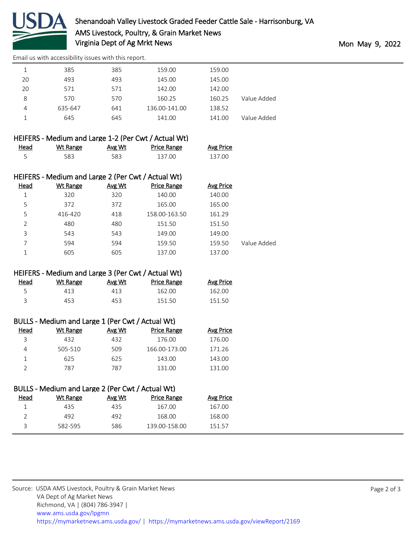

[Email us with accessibility issues with this report.](mailto:mars@ams.usda.gov?subject=508%20issue)

|    | 385     | 385 | 159.00        | 159.00 |             |
|----|---------|-----|---------------|--------|-------------|
| 20 | 493     | 493 | 145.00        | 145.00 |             |
| 20 | 571     | 571 | 142.00        | 142.00 |             |
| 8  | 570     | 570 | 160.25        | 160.25 | Value Added |
| 4  | 635-647 | 641 | 136.00-141.00 | 138.52 |             |
|    | 645     | 645 | 141.00        | 141.00 | Value Added |
|    |         |     |               |        |             |

|      |          |        | HEIFERS - Medium and Large 1-2 (Per Cwt / Actual Wt) |                  |
|------|----------|--------|------------------------------------------------------|------------------|
| Head | Wt Range | Avg Wt | <b>Price Range</b>                                   | <b>Avg Price</b> |
|      | 583.     | 583    | 137.00                                               | 137.00           |

| HEIFERS - Medium and Large 2 (Per Cwt / Actual Wt) |          |        |                    |                  |             |
|----------------------------------------------------|----------|--------|--------------------|------------------|-------------|
| Head                                               | Wt Range | Avg Wt | <b>Price Range</b> | <b>Avg Price</b> |             |
| 1                                                  | 320      | 320    | 140.00             | 140.00           |             |
| 5                                                  | 372      | 372    | 165.00             | 165.00           |             |
| 5                                                  | 416-420  | 418    | 158.00-163.50      | 161.29           |             |
| C                                                  | 480      | 480    | 151.50             | 151.50           |             |
| 3                                                  | 543      | 543    | 149.00             | 149.00           |             |
|                                                    | 594      | 594    | 159.50             | 159.50           | Value Added |
|                                                    | 605      | 605    | 137.00             | 137.00           |             |

## HEIFERS - Medium and Large 3 (Per Cwt / Actual Wt)

| <u>Head</u> | Wt Range | Avg Wt | <b>Price Range</b> | <b>Avg Price</b> |
|-------------|----------|--------|--------------------|------------------|
| - 5         | 413      | 413    | 162.00             | 162.00           |
|             | 453.     | 453    | 151.50             | 151.50           |

| Head | Wt Range | Avg Wt | <b>Price Range</b> | <b>Avg Price</b> |
|------|----------|--------|--------------------|------------------|
| ₹    | 432      | 432    | 176.00             | 176.00           |
| Δ    | 505-510  | 509    | 166.00-173.00      | 171.26           |
|      | 625      | 625    | 143.00             | 143.00           |
|      | 787      | 787    | 131.00             | 131.00           |

## BULLS - Medium and Large 2 (Per Cwt / Actual Wt)

| Head | Wt Range | Avg Wt | Price Range   | Avg Price |
|------|----------|--------|---------------|-----------|
|      | 435      | 435    | 167.00        | 167.00    |
|      | 492      | 492    | 168.00        | 168.00    |
|      | 582-595  | 586    | 139.00-158.00 | 151.57    |
|      |          |        |               |           |